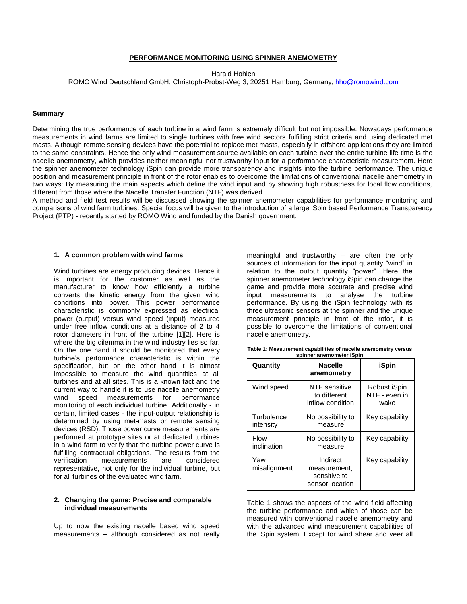### **PERFORMANCE MONITORING USING SPINNER ANEMOMETRY**

Harald Hohlen

ROMO Wind Deutschland GmbH, Christoph-Probst-Weg 3, 20251 Hamburg, Germany[, hho@romowind.com](mailto:hho@romowind.com)

## **Summary**

Determining the true performance of each turbine in a wind farm is extremely difficult but not impossible. Nowadays performance measurements in wind farms are limited to single turbines with free wind sectors fulfilling strict criteria and using dedicated met masts. Although remote sensing devices have the potential to replace met masts, especially in offshore applications they are limited to the same constraints. Hence the only wind measurement source available on each turbine over the entire turbine life time is the nacelle anemometry, which provides neither meaningful nor trustworthy input for a performance characteristic measurement. Here the spinner anemometer technology iSpin can provide more transparency and insights into the turbine performance. The unique position and measurement principle in front of the rotor enables to overcome the limitations of conventional nacelle anemometry in two ways: By measuring the main aspects which define the wind input and by showing high robustness for local flow conditions, different from those where the Nacelle Transfer Function (NTF) was derived.

A method and field test results will be discussed showing the spinner anemometer capabilities for performance monitoring and comparisons of wind farm turbines. Special focus will be given to the introduction of a large iSpin based Performance Transparency Project (PTP) - recently started by ROMO Wind and funded by the Danish government.

#### **1. A common problem with wind farms**

Wind turbines are energy producing devices. Hence it is important for the customer as well as the manufacturer to know how efficiently a turbine converts the kinetic energy from the given wind conditions into power. This power performance characteristic is commonly expressed as electrical power (output) versus wind speed (input) measured under free inflow conditions at a distance of 2 to 4 rotor diameters in front of the turbine [1][2]. Here is where the big dilemma in the wind industry lies so far. On the one hand it should be monitored that every turbine's performance characteristic is within the specification, but on the other hand it is almost impossible to measure the wind quantities at all turbines and at all sites. This is a known fact and the current way to handle it is to use nacelle anemometry wind speed measurements for performance monitoring of each individual turbine. Additionally - in certain, limited cases - the input-output relationship is determined by using met-masts or remote sensing devices (RSD). Those power curve measurements are performed at prototype sites or at dedicated turbines in a wind farm to verify that the turbine power curve is fulfilling contractual obligations. The results from the verification measurements are considered representative, not only for the individual turbine, but for all turbines of the evaluated wind farm.

# **2. Changing the game: Precise and comparable individual measurements**

Up to now the existing nacelle based wind speed measurements – although considered as not really meaningful and trustworthy – are often the only sources of information for the input quantity "wind" in relation to the output quantity "power". Here the spinner anemometer technology iSpin can change the game and provide more accurate and precise wind input measurements to analyse the turbine performance. By using the iSpin technology with its three ultrasonic sensors at the spinner and the unique measurement principle in front of the rotor, it is possible to overcome the limitations of conventional nacelle anemometry.

| Table 1: Measurement capabilities of nacelle anemometry versus |  |
|----------------------------------------------------------------|--|
| spinner anemometer iSpin                                       |  |

| Quantity                | <b>Nacelle</b><br>anemometry                                | iSpin                                 |
|-------------------------|-------------------------------------------------------------|---------------------------------------|
| Wind speed              | NTF sensitive<br>to different<br>inflow condition           | Robust iSpin<br>NTF - even in<br>wake |
| Turbulence<br>intensity | No possibility to<br>measure                                | Key capability                        |
| Flow<br>inclination     | No possibility to<br>measure                                | Key capability                        |
| Yaw<br>misalignment     | Indirect<br>measurement,<br>sensitive to<br>sensor location | Key capability                        |

Table 1 shows the aspects of the wind field affecting the turbine performance and which of those can be measured with conventional nacelle anemometry and with the advanced wind measurement capabilities of the iSpin system. Except for wind shear and veer all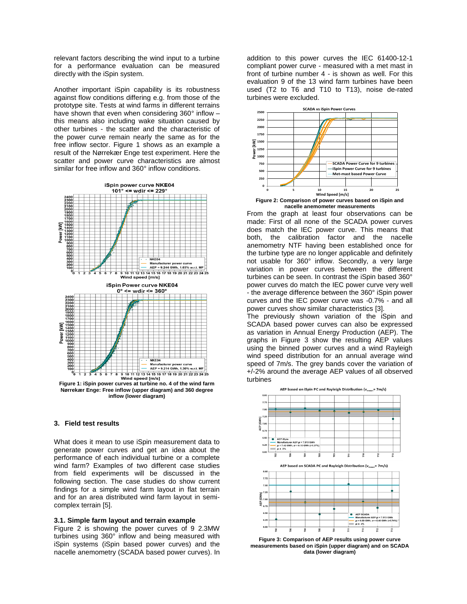relevant factors describing the wind input to a turbine for a performance evaluation can be measured directly with the iSpin system.

Another important iSpin capability is its robustness against flow conditions differing e.g. from those of the prototype site. Tests at wind farms in different terrains have shown that even when considering 360° inflow – this means also including wake situation caused by other turbines - the scatter and the characteristic of the power curve remain nearly the same as for the free inflow sector. Figure 1 shows as an example a result of the Nørrekær Enge test experiment. Here the scatter and power curve characteristics are almost similar for free inflow and 360° inflow conditions.



**Nørrekær Enge: Free inflow (upper diagram) and 360 degree inflow (lower diagram)**

# **3. Field test results**

What does it mean to use iSpin measurement data to generate power curves and get an idea about the performance of each individual turbine or a complete wind farm? Examples of two different case studies from field experiments will be discussed in the following section. The case studies do show current findings for a simple wind farm layout in flat terrain and for an area distributed wind farm layout in semicomplex terrain [5].

#### **3.1. Simple farm layout and terrain example**

Figure 2 is showing the power curves of 9 2.3MW turbines using 360° inflow and being measured with iSpin systems (iSpin based power curves) and the nacelle anemometry (SCADA based power curves). In

addition to this power curves the IEC 61400-12-1 compliant power curve - measured with a met mast in front of turbine number 4 - is shown as well. For this evaluation 9 of the 13 wind farm turbines have been used (T2 to T6 and T10 to T13), noise de-rated turbines were excluded.



**nacelle anemometer measurements**

From the graph at least four observations can be made: First of all none of the SCADA power curves does match the IEC power curve. This means that both, the calibration factor and the nacelle anemometry NTF having been established once for the turbine type are no longer applicable and definitely not usable for 360° inflow. Secondly, a very large variation in power curves between the different turbines can be seen. In contrast the iSpin based 360° power curves do match the IEC power curve very well - the average difference between the 360° iSpin power curves and the IEC power curve was -0.7% - and all power curves show similar characteristics [3].

The previously shown variation of the iSpin and SCADA based power curves can also be expressed as variation in Annual Energy Production (AEP). The graphs in Figure 3 show the resulting AEP values using the binned power curves and a wind Rayleigh wind speed distribution for an annual average wind speed of 7m/s. The grey bands cover the variation of +/-2% around the average AEP values of all observed turbines



**Figure 3: Comparison of AEP results using power curve measurements based on iSpin (upper diagram) and on SCADA data (lower diagram)**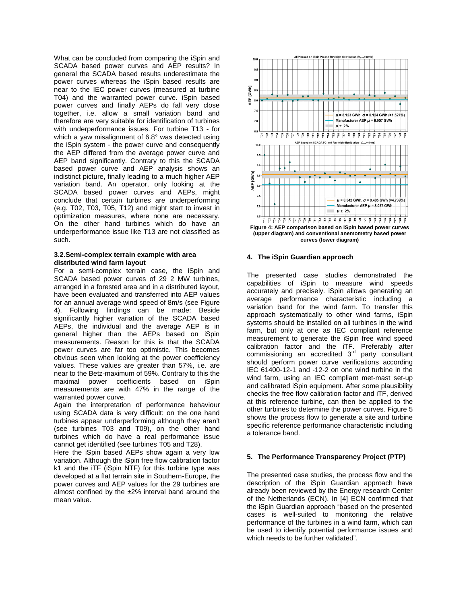What can be concluded from comparing the iSpin and SCADA based power curves and AEP results? In general the SCADA based results underestimate the power curves whereas the iSpin based results are near to the IEC power curves (measured at turbine T04) and the warranted power curve. iSpin based power curves and finally AEPs do fall very close together, i.e. allow a small variation band and therefore are very suitable for identification of turbines with underperformance issues. For turbine T13 - for which a yaw misalignment of 6.8° was detected using the iSpin system - the power curve and consequently the AEP differed from the average power curve and AEP band significantly. Contrary to this the SCADA based power curve and AEP analysis shows an indistinct picture, finally leading to a much higher AEP variation band. An operator, only looking at the SCADA based power curves and AEPs, might conclude that certain turbines are underperforming (e.g. T02, T03, T05, T12) and might start to invest in optimization measures, where none are necessary. On the other hand turbines which do have an underperformance issue like T13 are not classified as such.

# **3.2.Semi-complex terrain example with area distributed wind farm layout**

For a semi-complex terrain case, the iSpin and SCADA based power curves of 29 2 MW turbines, arranged in a forested area and in a distributed layout, have been evaluated and transferred into AEP values for an annual average wind speed of 8m/s (see Figure 4). Following findings can be made: Beside significantly higher variation of the SCADA based AEPs, the individual and the average AEP is in general higher than the AEPs based on iSpin measurements. Reason for this is that the SCADA power curves are far too optimistic. This becomes obvious seen when looking at the power coefficiency values. These values are greater than 57%, i.e. are near to the Betz-maximum of 59%. Contrary to this the maximal power coefficients based on iSpin measurements are with 47% in the range of the warranted power curve.

Again the interpretation of performance behaviour using SCADA data is very difficult: on the one hand turbines appear underperforming although they aren't (see turbines T03 and T09), on the other hand turbines which do have a real performance issue cannot get identified (see turbines T05 and T28).

Here the iSpin based AEPs show again a very low variation. Although the iSpin free flow calibration factor k1 and the iTF (iSpin NTF) for this turbine type was developed at a flat terrain site in Southern-Europe, the power curves and AEP values for the 29 turbines are almost confined by the ±2% interval band around the mean value.



**Figure 4: AEP comparison based on iSpin based power curves (upper diagram) and conventional anemometry based power curves (lower diagram)**

## **4. The iSpin Guardian approach**

The presented case studies demonstrated the capabilities of iSpin to measure wind speeds accurately and precisely. iSpin allows generating an average performance characteristic including a variation band for the wind farm. To transfer this approach systematically to other wind farms, iSpin systems should be installed on all turbines in the wind farm, but only at one as IEC compliant reference measurement to generate the iSpin free wind speed calibration factor and the iTF. Preferably after commissioning an accredited  $3<sup>rd</sup>$  party consultant should perform power curve verifications according IEC 61400-12-1 and -12-2 on one wind turbine in the wind farm, using an IEC compliant met-mast set-up and calibrated iSpin equipment. After some plausibility checks the free flow calibration factor and iTF, derived at this reference turbine, can then be applied to the other turbines to determine the power curves. Figure 5 shows the process flow to generate a site and turbine specific reference performance characteristic including a tolerance band.

## **5. The Performance Transparency Project (PTP)**

The presented case studies, the process flow and the description of the iSpin Guardian approach have already been reviewed by the Energy research Center of the Netherlands (ECN). In [4] ECN confirmed that the iSpin Guardian approach "based on the presented cases is well-suited to monitoring the relative performance of the turbines in a wind farm, which can be used to identify potential performance issues and which needs to be further validated".